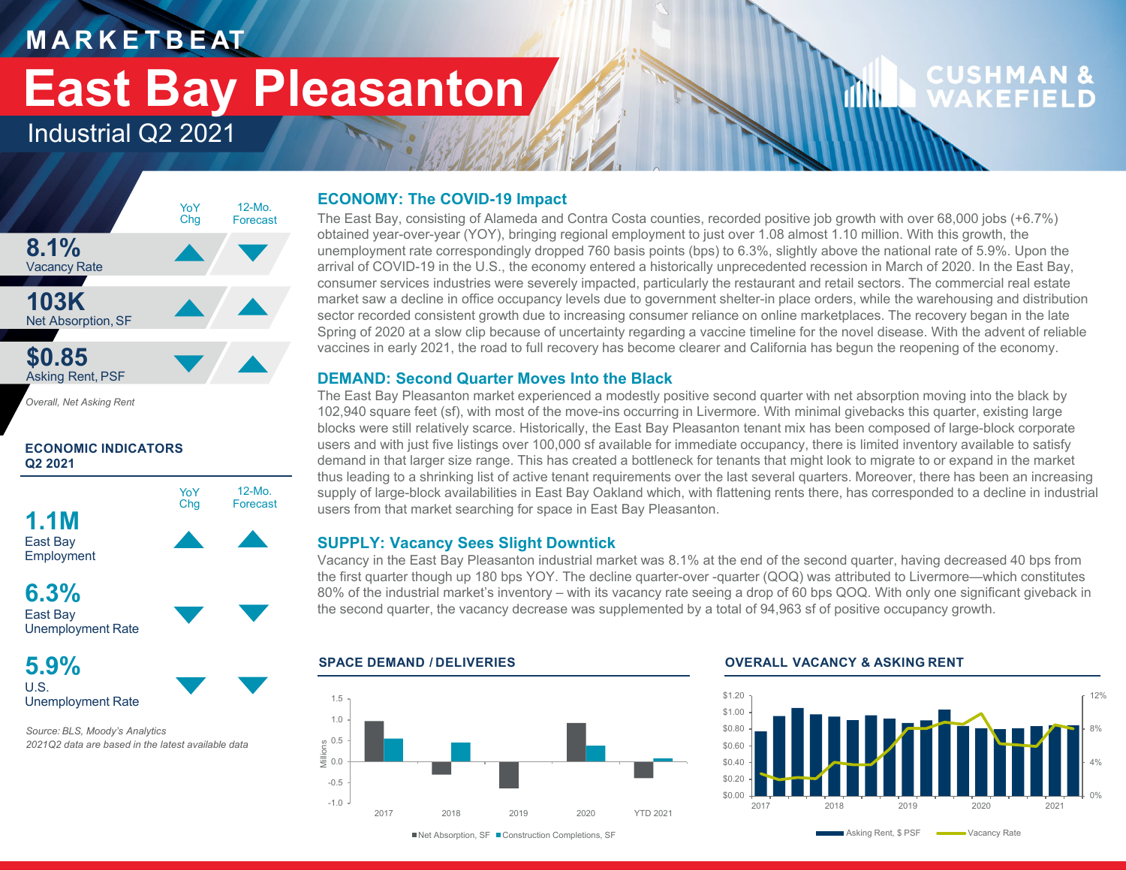### **M A R K E T B E AT**

# **East Bay Pleasanton**

### Industrial Q2 2021



*Overall, Net Asking Rent*

#### **ECONOMIC INDICATORS Q2 2021**



East Bay Unemployment Rate

#### **5.9%**U.S.Unemployment Rate

*Source: BLS, Moody's Analytics 2021Q2 data are based in the latest available data*

#### **ECONOMY: The COVID-19 Impact**

The East Bay, consisting of Alameda and Contra Costa counties, recorded positive job growth with over 68,000 jobs (+6.7%) obtained year-over-year (YOY), bringing regional employment to just over 1.08 almost 1.10 million. With this growth, the unemployment rate correspondingly dropped 760 basis points (bps) to 6.3%, slightly above the national rate of 5.9%. Upon the arrival of COVID-19 in the U.S., the economy entered a historically unprecedented recession in March of 2020. In the East Bay, consumer services industries were severely impacted, particularly the restaurant and retail sectors. The commercial real estate market saw a decline in office occupancy levels due to government shelter-in place orders, while the warehousing and distribution sector recorded consistent growth due to increasing consumer reliance on online marketplaces. The recovery began in the late Spring of 2020 at a slow clip because of uncertainty regarding a vaccine timeline for the novel disease. With the advent of reliable vaccines in early 2021, the road to full recovery has become clearer and California has begun the reopening of the economy.

#### **DEMAND: Second Quarter Moves Into the Black**

The East Bay Pleasanton market experienced a modestly positive second quarter with net absorption moving into the black by 102,940 square feet (sf), with most of the move-ins occurring in Livermore. With minimal givebacks this quarter, existing large blocks were still relatively scarce. Historically, the East Bay Pleasanton tenant mix has been composed of large-block corporate users and with just five listings over 100,000 sf available for immediate occupancy, there is limited inventory available to satisfy demand in that larger size range. This has created a bottleneck for tenants that might look to migrate to or expand in the market thus leading to a shrinking list of active tenant requirements over the last several quarters. Moreover, there has been an increasing supply of large-block availabilities in East Bay Oakland which, with flattening rents there, has corresponded to a decline in industrial users from that market searching for space in East Bay Pleasanton.

#### **SUPPLY: Vacancy Sees Slight Downtick**

Vacancy in the East Bay Pleasanton industrial market was 8.1% at the end of the second quarter, having decreased 40 bps from the first quarter though up 180 bps YOY. The decline quarter-over -quarter (QOQ) was attributed to Livermore—which constitutes 80% of the industrial market's inventory – with its vacancy rate seeing a drop of 60 bps QOQ. With only one significant giveback in the second quarter, the vacancy decrease was supplemented by a total of 94,963 sf of positive occupancy growth.

#### -1.0-0.50.0 0.5 Millions 1.01.52017 2018 2019 2020 YTD 2021

**SPACE DEMAND / DELIVERIES OVERALL VACANCY & ASKING RENT**

dllu.



**CUSHMAN &** 

WAKFFIFI

■Net Absorption, SF ■ Construction Completions, SF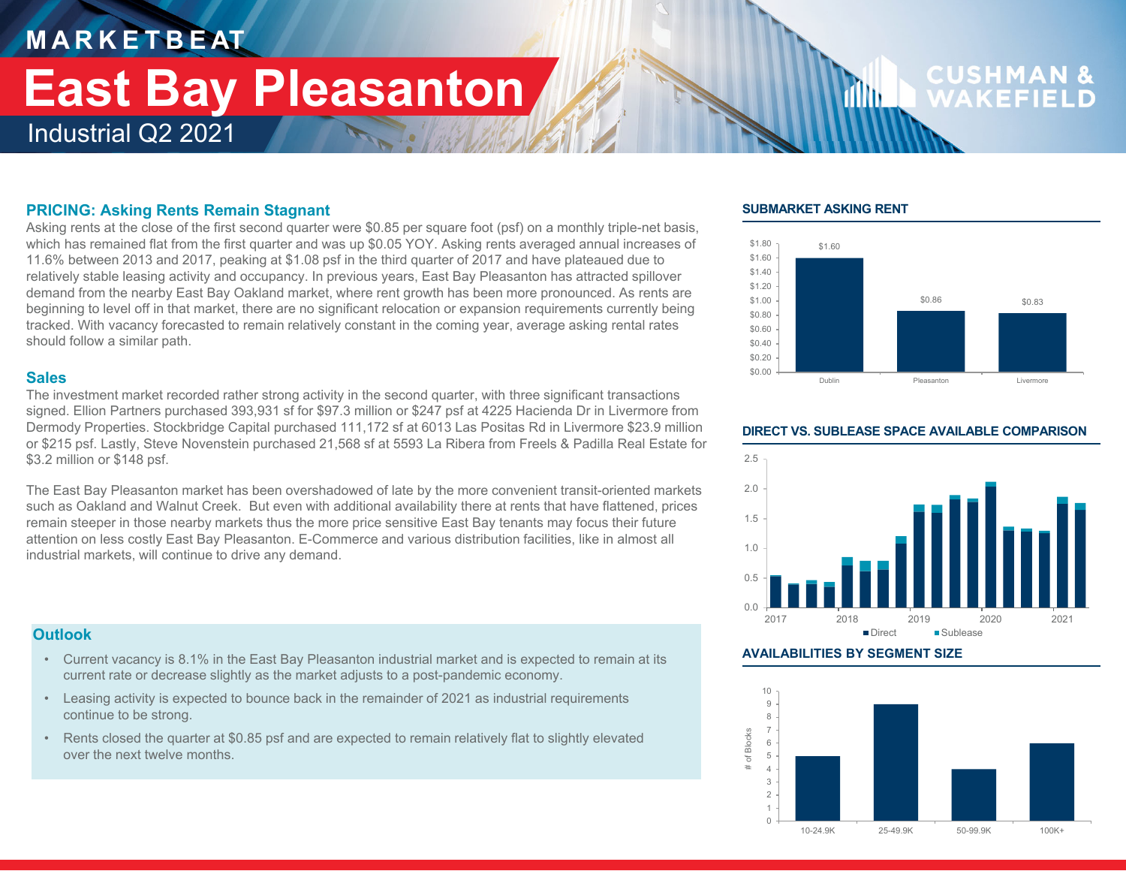## **M A R K E T B E AT** Industrial Q2 2021 **East Bay Pleasanton**

# **CUSHMA**

#### **PRICING: Asking Rents Remain Stagnant**

Asking rents at the close of the first second quarter were \$0.85 per square foot (psf) on a monthly triple-net basis, which has remained flat from the first quarter and was up \$0.05 YOY. Asking rents averaged annual increases of 11.6% between 2013 and 2017, peaking at \$1.08 psf in the third quarter of 2017 and have plateaued due to relatively stable leasing activity and occupancy. In previous years, East Bay Pleasanton has attracted spillover demand from the nearby East Bay Oakland market, where rent growth has been more pronounced. As rents are beginning to level off in that market, there are no significant relocation or expansion requirements currently being tracked. With vacancy forecasted to remain relatively constant in the coming year, average asking rental rates should follow a similar path.

#### **Sales**

The investment market recorded rather strong activity in the second quarter, with three significant transactions signed. Ellion Partners purchased 393,931 sf for \$97.3 million or \$247 psf at 4225 Hacienda Dr in Livermore from Dermody Properties. Stockbridge Capital purchased 111,172 sf at 6013 Las Positas Rd in Livermore \$23.9 million or \$215 psf. Lastly, Steve Novenstein purchased 21,568 sf at 5593 La Ribera from Freels & Padilla Real Estate for \$3.2 million or \$148 psf.

The East Bay Pleasanton market has been overshadowed of late by the more convenient transit-oriented markets such as Oakland and Walnut Creek. But even with additional availability there at rents that have flattened, prices remain steeper in those nearby markets thus the more price sensitive East Bay tenants may focus their future attention on less costly East Bay Pleasanton. E-Commerce and various distribution facilities, like in almost all industrial markets, will continue to drive any demand.

#### **Outlook**

- Current vacancy is 8.1% in the East Bay Pleasanton industrial market and is expected to remain at its current rate or decrease slightly as the market adjusts to a post-pandemic economy.
- Leasing activity is expected to bounce back in the remainder of 2021 as industrial requirements continue to be strong.
- Rents closed the quarter at \$0.85 psf and are expected to remain relatively flat to slightly elevated over the next twelve months.

#### **SUBMARKET ASKING RENT**

film.





#### **AVAILABILITIES BY SEGMENT SIZE**



#### **DIRECT VS. SUBLEASE SPACE AVAILABLE COMPARISON**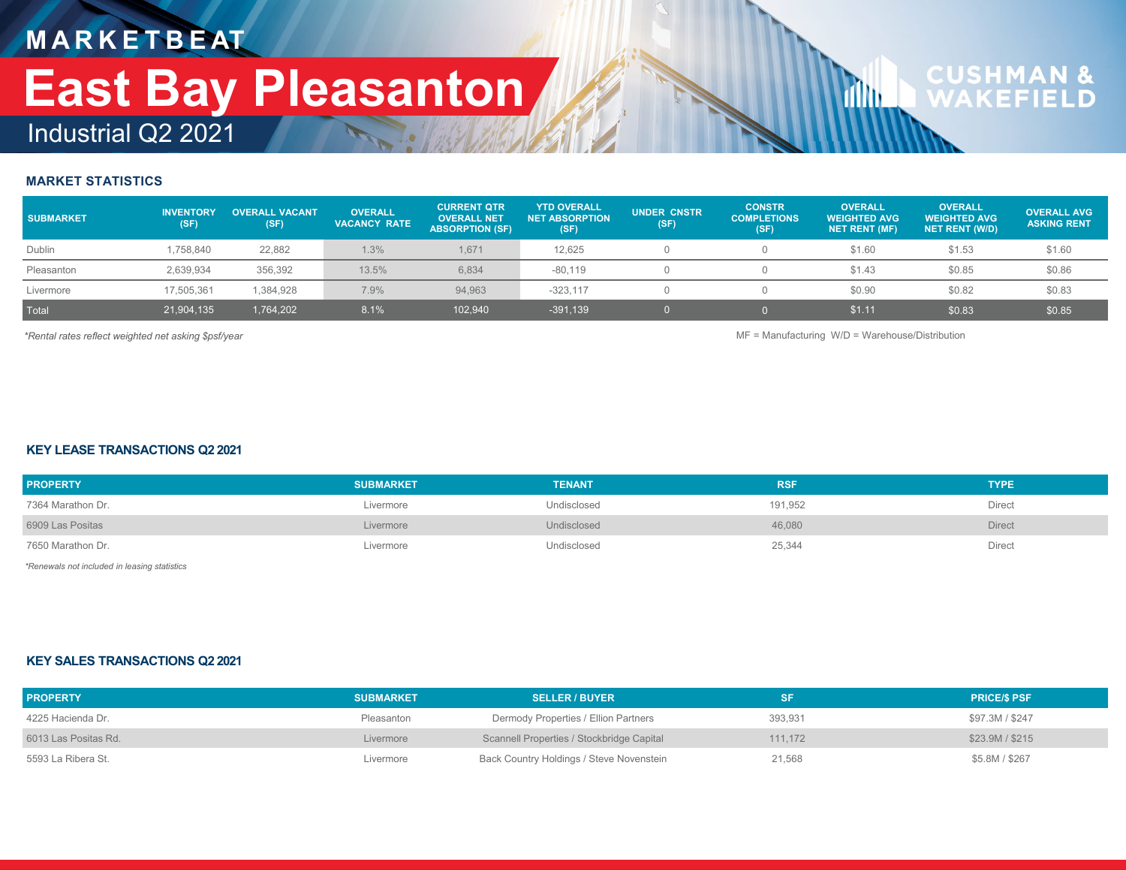## **M A R K E T B E AT** Industrial Q2 2021 **East Bay Pleasanton**

# **CUSHMAN &**<br>WAKFFIFLD

#### **MARKET STATISTICS**

| <b>SUBMARKET</b> | <b>INVENTORY</b><br>(SF) | <b>OVERALL VACANT</b><br>(SF) | <b>OVERALL</b><br><b>VACANCY RATE</b> | <b>CURRENT QTR</b><br><b>OVERALL NET</b><br><b>ABSORPTION (SF)</b> | <b>YTD OVERALL</b><br><b>NET ABSORPTION</b><br>(SF) | <b>UNDER CNSTR</b><br>(SF) | <b>CONSTR</b><br><b>COMPLETIONS</b><br>(SF) | <b>OVERALL</b><br><b>WEIGHTED AVG</b><br><b>NET RENT (MF)</b> | <b>OVERALL</b><br><b>WEIGHTED AVG</b><br><b>NET RENT (W/D)</b> | <b>OVERALL AVG</b><br><b>ASKING RENT</b> |
|------------------|--------------------------|-------------------------------|---------------------------------------|--------------------------------------------------------------------|-----------------------------------------------------|----------------------------|---------------------------------------------|---------------------------------------------------------------|----------------------------------------------------------------|------------------------------------------|
| Dublin           | 1.758.840                | 22,882                        | 1.3%                                  | 1.671                                                              | 12.625                                              |                            |                                             | \$1.60                                                        | \$1.53                                                         | \$1.60                                   |
| Pleasanton       | 2,639,934                | 356,392                       | 13.5%                                 | 6,834                                                              | $-80.119$                                           |                            |                                             | \$1.43                                                        | \$0.85                                                         | \$0.86                                   |
| Livermore        | 17,505,361               | 1,384,928                     | 7.9%                                  | 94.963                                                             | $-323.117$                                          |                            |                                             | \$0.90                                                        | \$0.82                                                         | \$0.83                                   |
| Total            | 21,904,135               | 1,764,202                     | 8.1%                                  | 102,940                                                            | $-391,139$                                          |                            |                                             | \$1.11                                                        | \$0.83                                                         | \$0.85                                   |

*\*Rental rates reflect weighted net asking \$psf/year* MF = Manufacturing W/D = Warehouse/Distribution

**ifth** 

#### **KEY LEASE TRANSACTIONS Q2 2021**

| <b>PROPERTY</b>   | <b>SUBMARKET</b> | <b>TENANT</b> | <b>RSF</b> | <b>TYPE</b>   |
|-------------------|------------------|---------------|------------|---------------|
| 7364 Marathon Dr. | Livermore        | Undisclosed   | 191,952    | Direct        |
| 6909 Las Positas  | Livermore        | Undisclosed   | 46,080     | <b>Direct</b> |
| 7650 Marathon Dr. | Livermore        | Undisclosed   | 25,344     | Direct        |

*\*Renewals not included in leasing statistics*

#### **KEY SALES TRANSACTIONS Q2 2021**

| <b>PROPERTY</b>      | <b>SUBMARKET</b> | <b>SELLER / BUYER</b>                     | <b>SF</b> | <b>PRICE/S PSF</b> |
|----------------------|------------------|-------------------------------------------|-----------|--------------------|
| 4225 Hacienda Dr.    | Pleasanton       | Dermody Properties / Ellion Partners      | 393.931   | \$97.3M / \$247    |
| 6013 Las Positas Rd. | Livermore        | Scannell Properties / Stockbridge Capital | 111.172   | \$23.9M / \$215    |
| 5593 La Ribera St.   | Livermore        | Back Country Holdings / Steve Novenstein  | 21,568    | \$5.8M / \$267     |